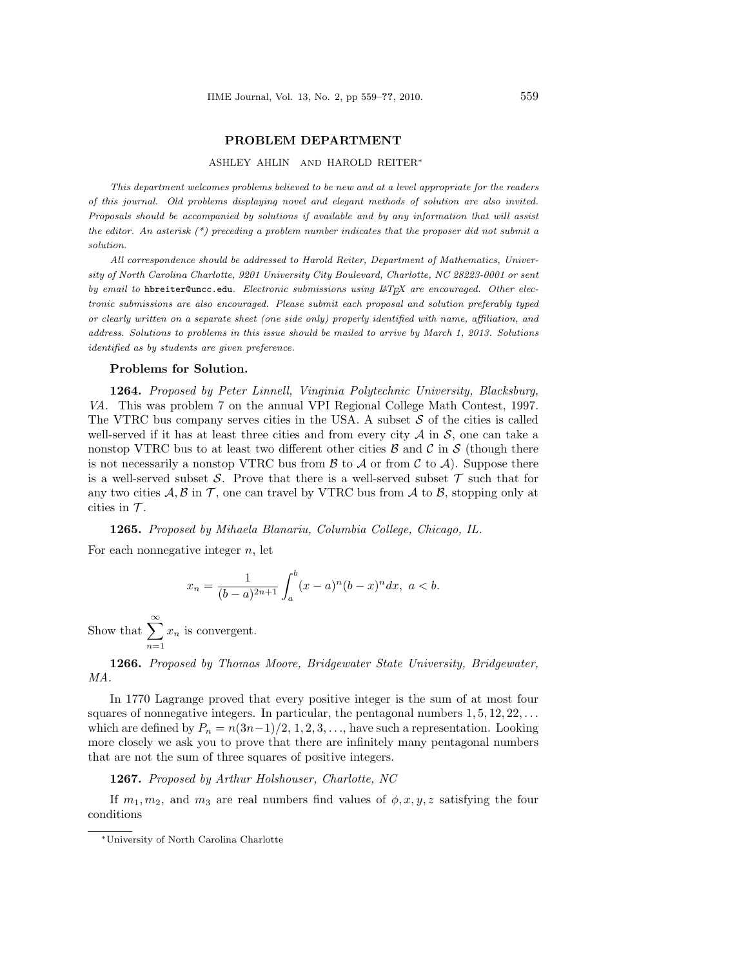## **PROBLEM DEPARTMENT**

## ASHLEY AHLIN AND HAROLD REITER*∗*

*This department welcomes problems believed to be new and at a level appropriate for the readers of this journal. Old problems displaying novel and elegant methods of solution are also invited. Proposals should be accompanied by solutions if available and by any information that will assist the editor. An asterisk (\*) preceding a problem number indicates that the proposer did not submit a solution.*

*All correspondence should be addressed to Harold Reiter, Department of Mathematics, University of North Carolina Charlotte, 9201 University City Boulevard, Charlotte, NC 28223-0001 or sent by email to* hbreiter@uncc.edu*. Electronic submissions using LATEX are encouraged. Other electronic submissions are also encouraged. Please submit each proposal and solution preferably typed or clearly written on a separate sheet (one side only) properly identified with name, affiliation, and address. Solutions to problems in this issue should be mailed to arrive by March 1, 2013. Solutions identified as by students are given preference.*

## **Problems for Solution.**

**1264.** *Proposed by Peter Linnell, Vinginia Polytechnic University, Blacksburg, VA.* This was problem 7 on the annual VPI Regional College Math Contest, 1997. The VTRC bus company serves cities in the USA. A subset *S* of the cities is called well-served if it has at least three cities and from every city  $A$  in  $S$ , one can take a nonstop VTRC bus to at least two different other cities  $\beta$  and  $\beta$  in  $\delta$  (though there is not necessarily a nonstop VTRC bus from  $\beta$  to  $\beta$  or from  $\beta$  to  $\beta$ ). Suppose there is a well-served subset  $S$ . Prove that there is a well-served subset  $\mathcal T$  such that for any two cities  $A, B$  in  $T$ , one can travel by VTRC bus from  $A$  to  $B$ , stopping only at cities in  $\mathcal{T}$ .

**1265.** *Proposed by Mihaela Blanariu, Columbia College, Chicago, IL.* For each nonnegative integer *n*, let

$$
x_n = \frac{1}{(b-a)^{2n+1}} \int_a^b (x-a)^n (b-x)^n dx, \ a < b.
$$

Show that <sup>∑</sup>*<sup>∞</sup> n*=1 *x<sup>n</sup>* is convergent.

**1266.** *Proposed by Thomas Moore, Bridgewater State University, Bridgewater, MA.*

In 1770 Lagrange proved that every positive integer is the sum of at most four squares of nonnegative integers. In particular, the pentagonal numbers 1*,* 5*,* 12*,* 22*, . . .* which are defined by  $P_n = n(3n-1)/2, 1, 2, 3, \ldots$ , have such a representation. Looking more closely we ask you to prove that there are infinitely many pentagonal numbers that are not the sum of three squares of positive integers.

**1267.** *Proposed by Arthur Holshouser, Charlotte, NC*

If  $m_1, m_2$ , and  $m_3$  are real numbers find values of  $\phi, x, y, z$  satisfying the four conditions

*<sup>∗</sup>*University of North Carolina Charlotte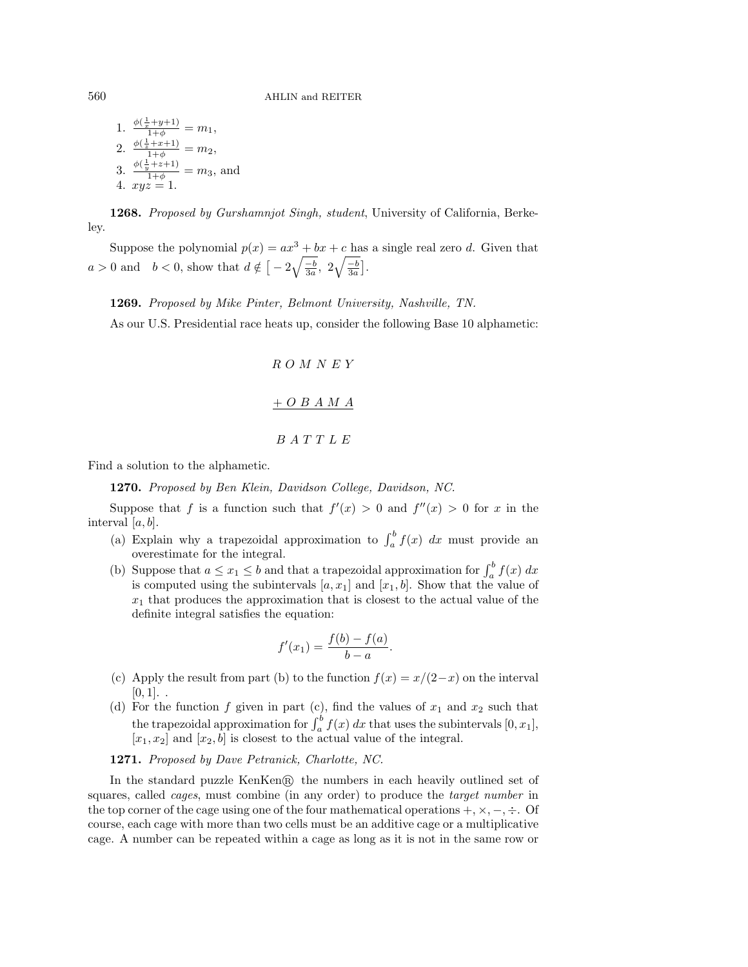1. 
$$
\frac{\phi(\frac{1}{x}+y+1)}{1+\phi} = m_1,
$$
  
\n2. 
$$
\frac{\phi(\frac{1}{x}+x+1)}{1+\phi} = m_2,
$$
  
\n3. 
$$
\frac{\phi(\frac{1}{y}+z+1)}{1+\phi} = m_3
$$
, and  
\n4.  $xyz = 1$ .

**1268.** *Proposed by Gurshamnjot Singh, student*, University of California, Berkeley.

Suppose the polynomial  $p(x) = ax^3 + bx + c$  has a single real zero *d*. Given that  $a > 0$  and  $b < 0$ , show that  $d \notin \left[ -2\sqrt{\frac{-b}{3a}}, 2\sqrt{\frac{-b}{3a}} \right]$ .

**1269.** *Proposed by Mike Pinter, Belmont University, Nashville, TN.*

As our U.S. Presidential race heats up, consider the following Base 10 alphametic:

*R O M N E Y* + *O B A M A B A T T L E*

Find a solution to the alphametic.

**1270.** *Proposed by Ben Klein, Davidson College, Davidson, NC.*

Suppose that *f* is a function such that  $f'(x) > 0$  and  $f''(x) > 0$  for *x* in the interval [*a, b*].

- (a) Explain why a trapezoidal approximation to  $\int_a^b f(x) dx$  must provide an overestimate for the integral.
- (b) Suppose that  $a \leq x_1 \leq b$  and that a trapezoidal approximation for  $\int_a^b f(x) dx$ is computed using the subintervals  $[a, x_1]$  and  $[x_1, b]$ . Show that the value of  $x_1$  that produces the approximation that is closest to the actual value of the definite integral satisfies the equation:

$$
f'(x_1) = \frac{f(b) - f(a)}{b - a}.
$$

- (c) Apply the result from part (b) to the function  $f(x) = x/(2-x)$  on the interval  $[0, 1]$ ...
- (d) For the function  $f$  given in part (c), find the values of  $x_1$  and  $x_2$  such that the trapezoidal approximation for  $\int_a^b f(x) dx$  that uses the subintervals  $[0, x_1]$ ,  $[x_1, x_2]$  and  $[x_2, b]$  is closest to the actual value of the integral.

## **1271.** *Proposed by Dave Petranick, Charlotte, NC.*

In the standard puzzle Ken<sub>K</sub>en<sub>®</sub> the numbers in each heavily outlined set of squares, called *cages*, must combine (in any order) to produce the *target number* in the top corner of the cage using one of the four mathematical operations  $+$ ,  $\times$ ,  $-$ ,  $\div$ . Of course, each cage with more than two cells must be an additive cage or a multiplicative cage. A number can be repeated within a cage as long as it is not in the same row or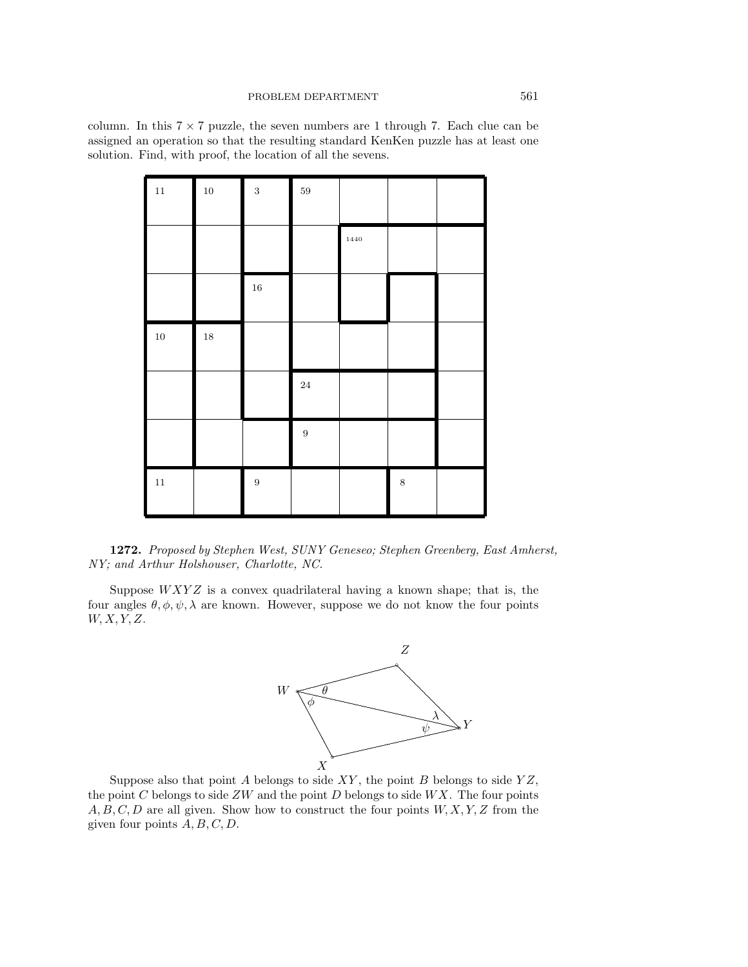column. In this  $7 \times 7$  puzzle, the seven numbers are 1 through 7. Each clue can be assigned an operation so that the resulting standard KenKen puzzle has at least one solution. Find, with proof, the location of all the sevens.

| $11\,$ | $10\,$ | 3                | $59\,$           |      |         |  |
|--------|--------|------------------|------------------|------|---------|--|
|        |        |                  |                  | 1440 |         |  |
|        |        | $16\,$           |                  |      |         |  |
| $10\,$ | $18\,$ |                  |                  |      |         |  |
|        |        |                  | $\bf{24}$        |      |         |  |
|        |        |                  | $\boldsymbol{9}$ |      |         |  |
| $11\,$ |        | $\boldsymbol{9}$ |                  |      | $\,8\,$ |  |

**1272.** *Proposed by Stephen West, SUNY Geneseo; Stephen Greenberg, East Amherst, NY; and Arthur Holshouser, Charlotte, NC.*

Suppose  $WXYZ$  is a convex quadrilateral having a known shape; that is, the four angles  $\theta$ ,  $\phi$ ,  $\psi$ ,  $\lambda$  are known. However, suppose we do not know the four points *W, X, Y, Z*.



Suppose also that point *A* belongs to side *XY* , the point *B* belongs to side *Y Z*, the point *C* belongs to side *ZW* and the point *D* belongs to side *W X*. The four points *A, B, C, D* are all given. Show how to construct the four points *W, X, Y, Z* from the given four points *A, B, C, D*.